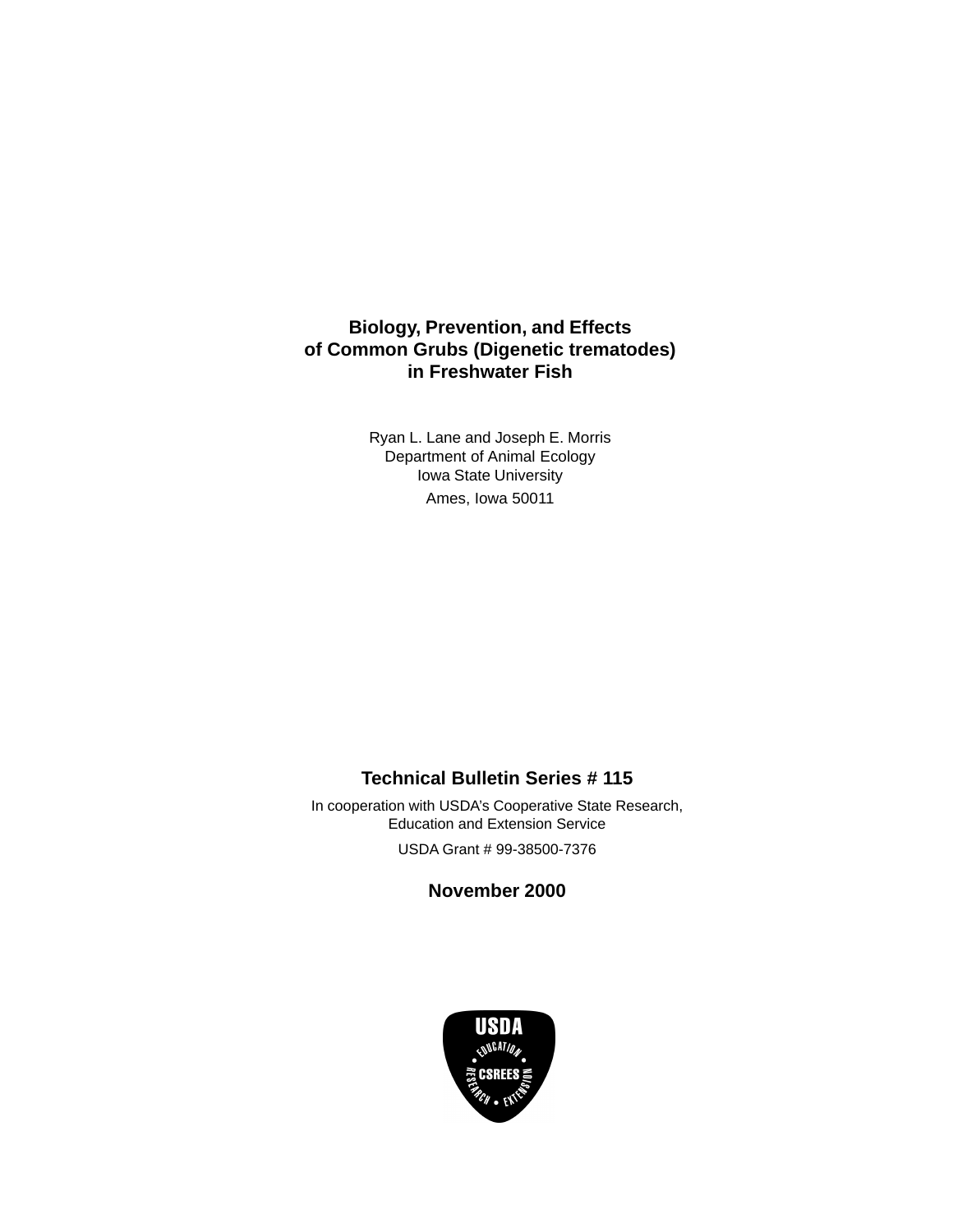# **Biology, Prevention, and Effects of Common Grubs (Digenetic trematodes) in Freshwater Fish**

Ryan L. Lane and Joseph E. Morris Department of Animal Ecology Iowa State University Ames, Iowa 50011

# **Technical Bulletin Series # 115**

In cooperation with USDA's Cooperative State Research, Education and Extension Service USDA Grant # 99-38500-7376

**November 2000**

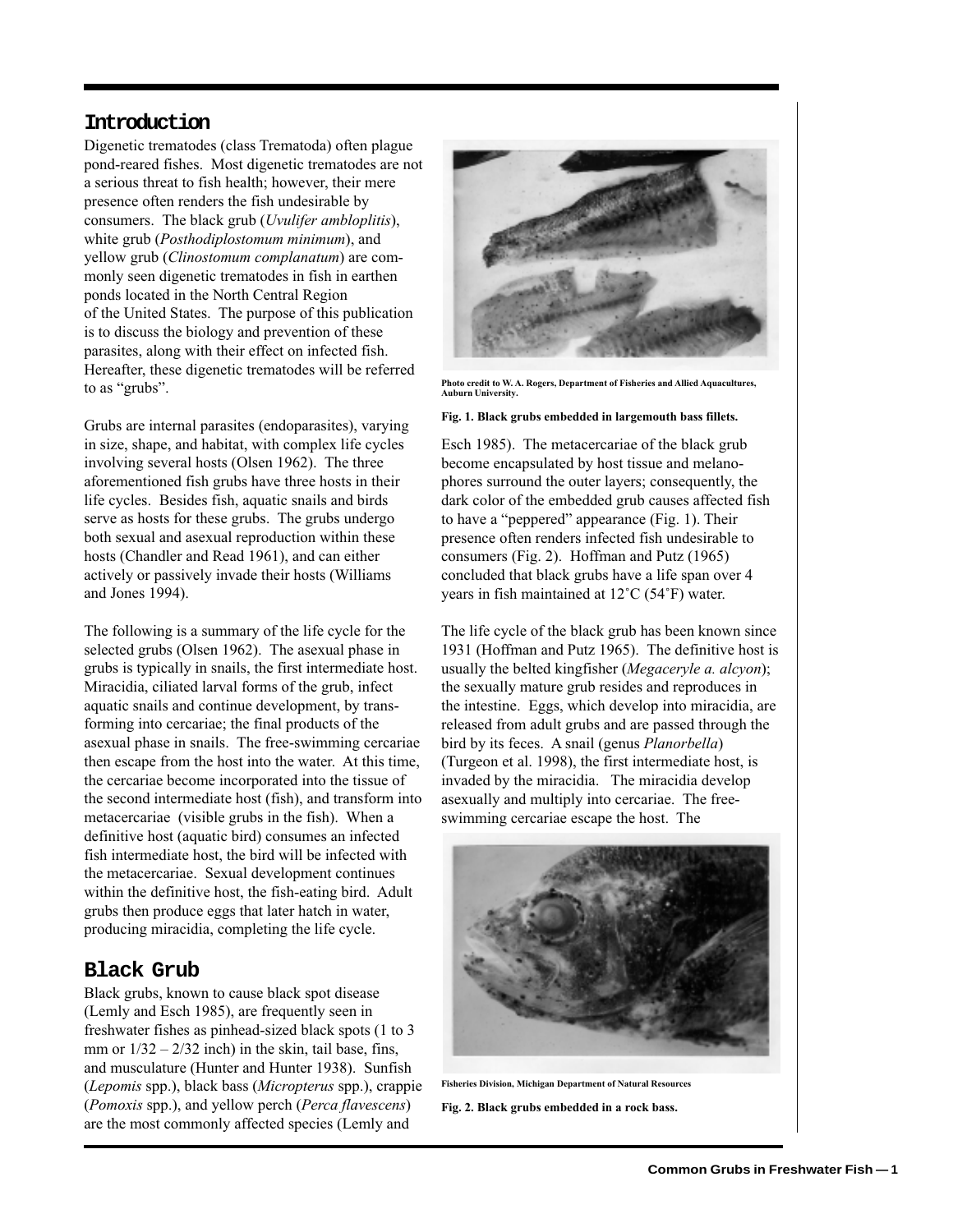### **Introduction**

Digenetic trematodes (class Trematoda) often plague pond-reared fishes. Most digenetic trematodes are not a serious threat to fish health; however, their mere presence often renders the fish undesirable by consumers. The black grub (*Uvulifer ambloplitis*), white grub (*Posthodiplostomum minimum*), and yellow grub (*Clinostomum complanatum*) are commonly seen digenetic trematodes in fish in earthen ponds located in the North Central Region of the United States. The purpose of this publication is to discuss the biology and prevention of these parasites, along with their effect on infected fish. Hereafter, these digenetic trematodes will be referred to as "grubs".

Grubs are internal parasites (endoparasites), varying in size, shape, and habitat, with complex life cycles involving several hosts (Olsen 1962). The three aforementioned fish grubs have three hosts in their life cycles. Besides fish, aquatic snails and birds serve as hosts for these grubs. The grubs undergo both sexual and asexual reproduction within these hosts (Chandler and Read 1961), and can either actively or passively invade their hosts (Williams and Jones 1994).

The following is a summary of the life cycle for the selected grubs (Olsen 1962). The asexual phase in grubs is typically in snails, the first intermediate host. Miracidia, ciliated larval forms of the grub, infect aquatic snails and continue development, by transforming into cercariae; the final products of the asexual phase in snails. The free-swimming cercariae then escape from the host into the water. At this time, the cercariae become incorporated into the tissue of the second intermediate host (fish), and transform into metacercariae (visible grubs in the fish). When a definitive host (aquatic bird) consumes an infected fish intermediate host, the bird will be infected with the metacercariae. Sexual development continues within the definitive host, the fish-eating bird. Adult grubs then produce eggs that later hatch in water, producing miracidia, completing the life cycle.

#### **Black Grub**

Black grubs, known to cause black spot disease (Lemly and Esch 1985), are frequently seen in freshwater fishes as pinhead-sized black spots (1 to 3 mm or  $1/32 - 2/32$  inch) in the skin, tail base, fins, and musculature (Hunter and Hunter 1938). Sunfish (*Lepomis* spp.), black bass (*Micropterus* spp.), crappie (*Pomoxis* spp.), and yellow perch (*Perca flavescens*) are the most commonly affected species (Lemly and



**Photo credit to W. A. Rogers, Department of Fisheries and Allied Aquacultures, Auburn University.**

#### **Fig. 1. Black grubs embedded in largemouth bass fillets.**

Esch 1985). The metacercariae of the black grub become encapsulated by host tissue and melanophores surround the outer layers; consequently, the dark color of the embedded grub causes affected fish to have a "peppered" appearance (Fig. 1). Their presence often renders infected fish undesirable to consumers (Fig. 2). Hoffman and Putz (1965) concluded that black grubs have a life span over 4 years in fish maintained at 12˚C (54˚F) water.

The life cycle of the black grub has been known since 1931 (Hoffman and Putz 1965). The definitive host is usually the belted kingfisher (*Megaceryle a. alcyon*); the sexually mature grub resides and reproduces in the intestine. Eggs, which develop into miracidia, are released from adult grubs and are passed through the bird by its feces. A snail (genus *Planorbella*) (Turgeon et al. 1998), the first intermediate host, is invaded by the miracidia. The miracidia develop asexually and multiply into cercariae. The freeswimming cercariae escape the host. The



**Fisheries Division, Michigan Department of Natural Resources**

**Fig. 2. Black grubs embedded in a rock bass.**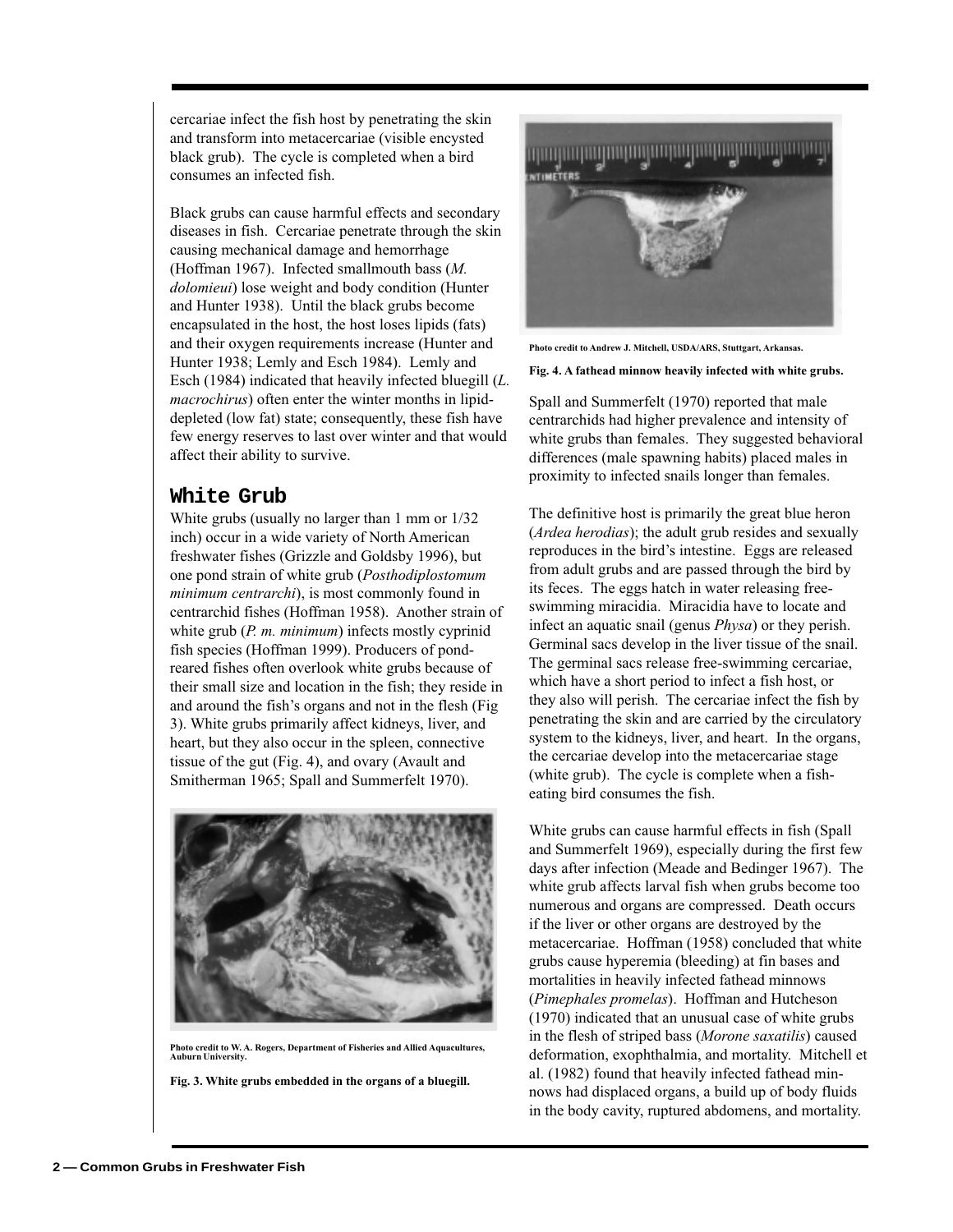cercariae infect the fish host by penetrating the skin and transform into metacercariae (visible encysted black grub). The cycle is completed when a bird consumes an infected fish.

Black grubs can cause harmful effects and secondary diseases in fish. Cercariae penetrate through the skin causing mechanical damage and hemorrhage (Hoffman 1967). Infected smallmouth bass (*M. dolomieui*) lose weight and body condition (Hunter and Hunter 1938). Until the black grubs become encapsulated in the host, the host loses lipids (fats) and their oxygen requirements increase (Hunter and Hunter 1938; Lemly and Esch 1984). Lemly and Esch (1984) indicated that heavily infected bluegill (*L. macrochirus*) often enter the winter months in lipiddepleted (low fat) state; consequently, these fish have few energy reserves to last over winter and that would affect their ability to survive.

# **White Grub**

White grubs (usually no larger than 1 mm or 1/32 inch) occur in a wide variety of North American freshwater fishes (Grizzle and Goldsby 1996), but one pond strain of white grub (*Posthodiplostomum minimum centrarchi*), is most commonly found in centrarchid fishes (Hoffman 1958). Another strain of white grub (*P. m. minimum*) infects mostly cyprinid fish species (Hoffman 1999). Producers of pondreared fishes often overlook white grubs because of their small size and location in the fish; they reside in and around the fish's organs and not in the flesh (Fig 3). White grubs primarily affect kidneys, liver, and heart, but they also occur in the spleen, connective tissue of the gut (Fig. 4), and ovary (Avault and Smitherman 1965; Spall and Summerfelt 1970).



**Photo credit to W. A. Rogers, Department of Fisheries and Allied Aquacultures, Auburn University.**

**Fig. 3. White grubs embedded in the organs of a bluegill.**



**Photo credit to Andrew J. Mitchell, USDA/ARS, Stuttgart, Arkansas.**

**Fig. 4. A fathead minnow heavily infected with white grubs.**

Spall and Summerfelt (1970) reported that male centrarchids had higher prevalence and intensity of white grubs than females. They suggested behavioral differences (male spawning habits) placed males in proximity to infected snails longer than females.

The definitive host is primarily the great blue heron (*Ardea herodias*); the adult grub resides and sexually reproduces in the bird's intestine. Eggs are released from adult grubs and are passed through the bird by its feces. The eggs hatch in water releasing freeswimming miracidia. Miracidia have to locate and infect an aquatic snail (genus *Physa*) or they perish. Germinal sacs develop in the liver tissue of the snail. The germinal sacs release free-swimming cercariae, which have a short period to infect a fish host, or they also will perish. The cercariae infect the fish by penetrating the skin and are carried by the circulatory system to the kidneys, liver, and heart. In the organs, the cercariae develop into the metacercariae stage (white grub). The cycle is complete when a fisheating bird consumes the fish.

White grubs can cause harmful effects in fish (Spall and Summerfelt 1969), especially during the first few days after infection (Meade and Bedinger 1967). The white grub affects larval fish when grubs become too numerous and organs are compressed. Death occurs if the liver or other organs are destroyed by the metacercariae. Hoffman (1958) concluded that white grubs cause hyperemia (bleeding) at fin bases and mortalities in heavily infected fathead minnows (*Pimephales promelas*). Hoffman and Hutcheson (1970) indicated that an unusual case of white grubs in the flesh of striped bass (*Morone saxatilis*) caused deformation, exophthalmia, and mortality. Mitchell et al. (1982) found that heavily infected fathead minnows had displaced organs, a build up of body fluids in the body cavity, ruptured abdomens, and mortality.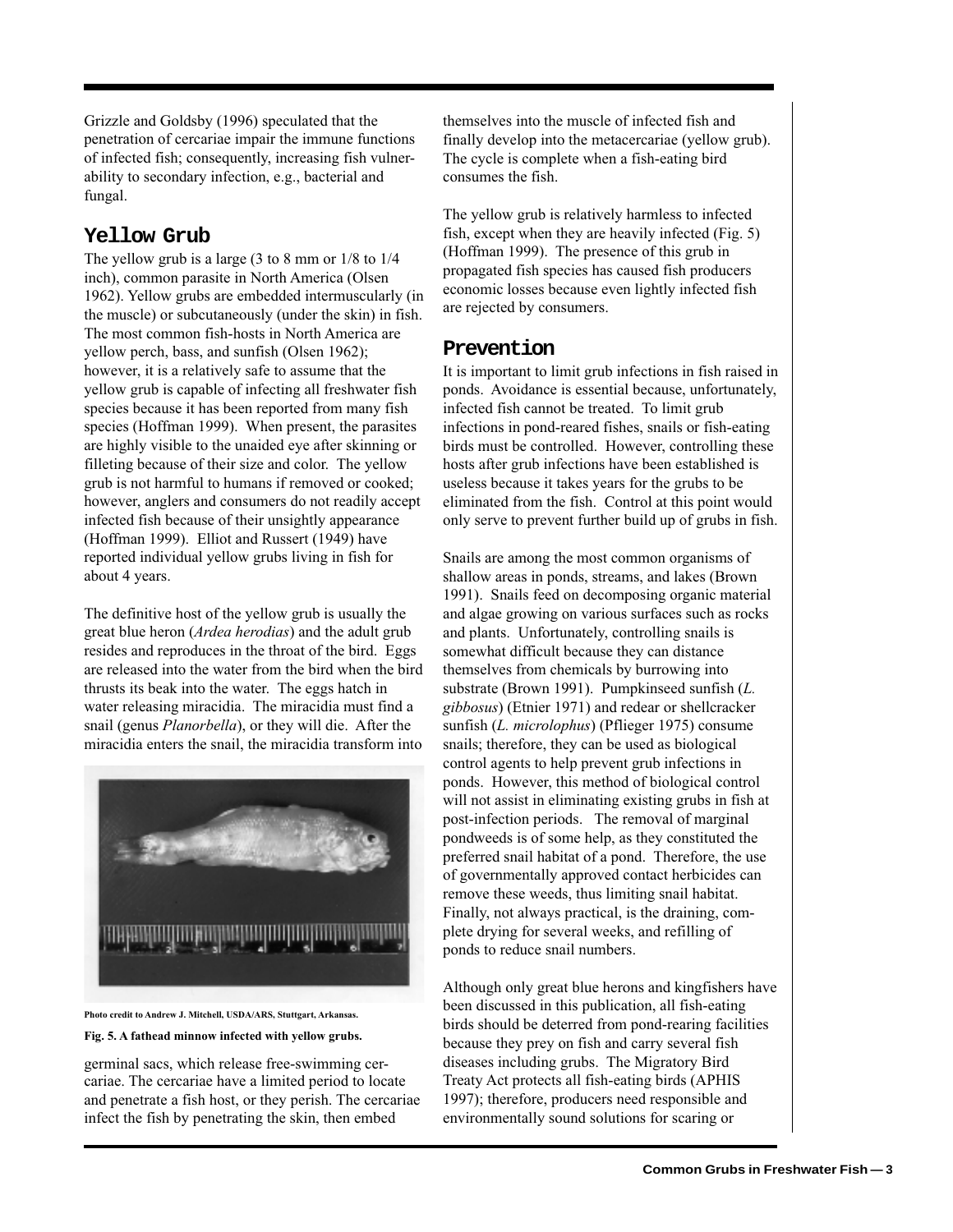Grizzle and Goldsby (1996) speculated that the penetration of cercariae impair the immune functions of infected fish; consequently, increasing fish vulnerability to secondary infection, e.g., bacterial and fungal.

## **Yellow Grub**

The yellow grub is a large (3 to 8 mm or 1/8 to 1/4 inch), common parasite in North America (Olsen 1962). Yellow grubs are embedded intermuscularly (in the muscle) or subcutaneously (under the skin) in fish. The most common fish-hosts in North America are yellow perch, bass, and sunfish (Olsen 1962); however, it is a relatively safe to assume that the yellow grub is capable of infecting all freshwater fish species because it has been reported from many fish species (Hoffman 1999). When present, the parasites are highly visible to the unaided eye after skinning or filleting because of their size and color. The yellow grub is not harmful to humans if removed or cooked; however, anglers and consumers do not readily accept infected fish because of their unsightly appearance (Hoffman 1999). Elliot and Russert (1949) have reported individual yellow grubs living in fish for about 4 years.

The definitive host of the yellow grub is usually the great blue heron (*Ardea herodias*) and the adult grub resides and reproduces in the throat of the bird. Eggs are released into the water from the bird when the bird thrusts its beak into the water. The eggs hatch in water releasing miracidia. The miracidia must find a snail (genus *Planorbella*), or they will die. After the miracidia enters the snail, the miracidia transform into



**Photo credit to Andrew J. Mitchell, USDA/ARS, Stuttgart, Arkansas.**

#### **Fig. 5. A fathead minnow infected with yellow grubs.**

germinal sacs, which release free-swimming cercariae. The cercariae have a limited period to locate and penetrate a fish host, or they perish. The cercariae infect the fish by penetrating the skin, then embed

themselves into the muscle of infected fish and finally develop into the metacercariae (yellow grub). The cycle is complete when a fish-eating bird consumes the fish.

The yellow grub is relatively harmless to infected fish, except when they are heavily infected (Fig. 5) (Hoffman 1999). The presence of this grub in propagated fish species has caused fish producers economic losses because even lightly infected fish are rejected by consumers.

#### **Prevention**

It is important to limit grub infections in fish raised in ponds. Avoidance is essential because, unfortunately, infected fish cannot be treated. To limit grub infections in pond-reared fishes, snails or fish-eating birds must be controlled. However, controlling these hosts after grub infections have been established is useless because it takes years for the grubs to be eliminated from the fish. Control at this point would only serve to prevent further build up of grubs in fish.

Snails are among the most common organisms of shallow areas in ponds, streams, and lakes (Brown 1991). Snails feed on decomposing organic material and algae growing on various surfaces such as rocks and plants. Unfortunately, controlling snails is somewhat difficult because they can distance themselves from chemicals by burrowing into substrate (Brown 1991). Pumpkinseed sunfish (*L. gibbosus*) (Etnier 1971) and redear or shellcracker sunfish (*L. microlophus*) (Pflieger 1975) consume snails; therefore, they can be used as biological control agents to help prevent grub infections in ponds. However, this method of biological control will not assist in eliminating existing grubs in fish at post-infection periods. The removal of marginal pondweeds is of some help, as they constituted the preferred snail habitat of a pond. Therefore, the use of governmentally approved contact herbicides can remove these weeds, thus limiting snail habitat. Finally, not always practical, is the draining, complete drying for several weeks, and refilling of ponds to reduce snail numbers.

Although only great blue herons and kingfishers have been discussed in this publication, all fish-eating birds should be deterred from pond-rearing facilities because they prey on fish and carry several fish diseases including grubs. The Migratory Bird Treaty Act protects all fish-eating birds (APHIS 1997); therefore, producers need responsible and environmentally sound solutions for scaring or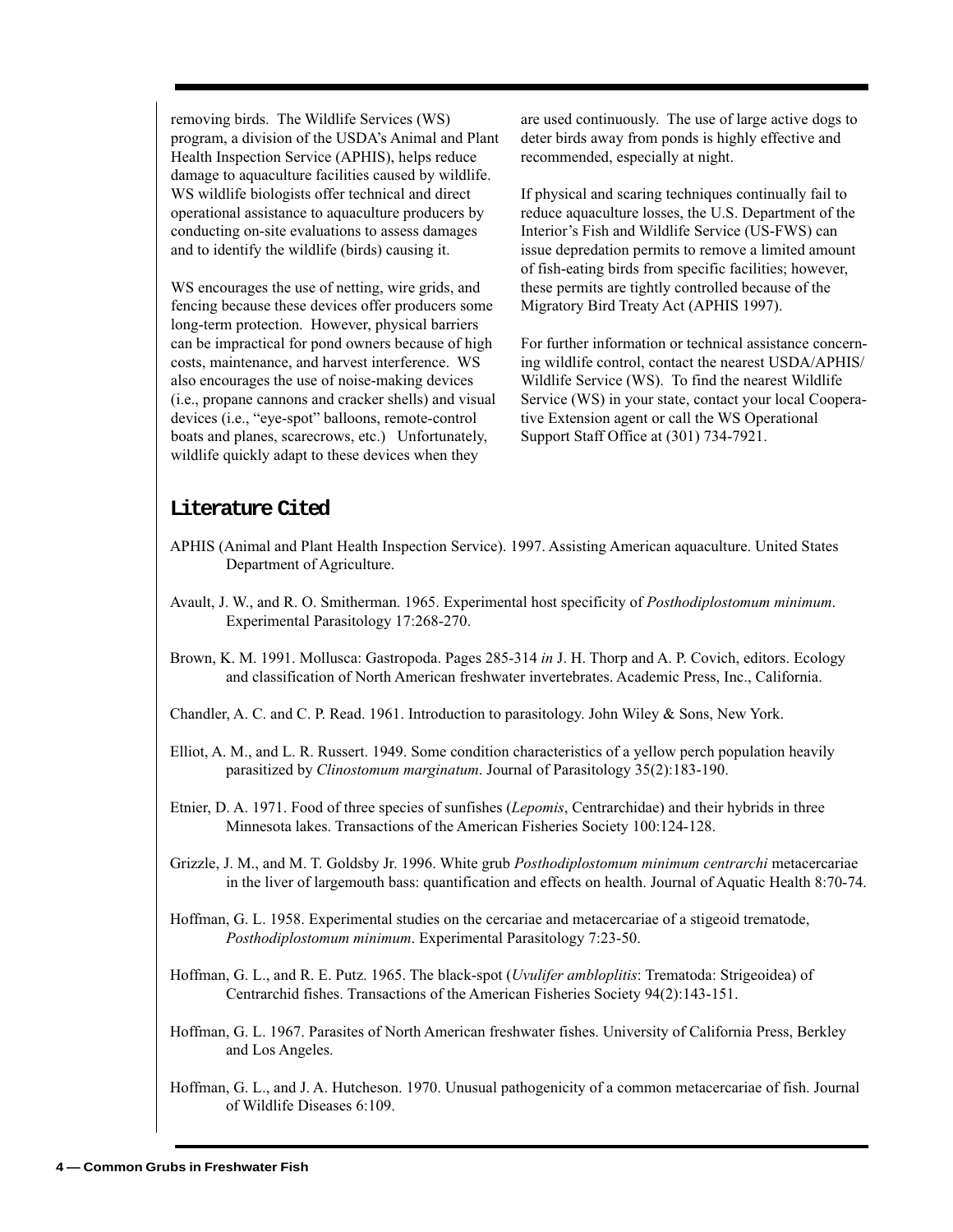removing birds. The Wildlife Services (WS) program, a division of the USDA's Animal and Plant Health Inspection Service (APHIS), helps reduce damage to aquaculture facilities caused by wildlife. WS wildlife biologists offer technical and direct operational assistance to aquaculture producers by conducting on-site evaluations to assess damages and to identify the wildlife (birds) causing it.

WS encourages the use of netting, wire grids, and fencing because these devices offer producers some long-term protection. However, physical barriers can be impractical for pond owners because of high costs, maintenance, and harvest interference. WS also encourages the use of noise-making devices (i.e., propane cannons and cracker shells) and visual devices (i.e., "eye-spot" balloons, remote-control boats and planes, scarecrows, etc.) Unfortunately, wildlife quickly adapt to these devices when they

are used continuously. The use of large active dogs to deter birds away from ponds is highly effective and recommended, especially at night.

If physical and scaring techniques continually fail to reduce aquaculture losses, the U.S. Department of the Interior's Fish and Wildlife Service (US-FWS) can issue depredation permits to remove a limited amount of fish-eating birds from specific facilities; however, these permits are tightly controlled because of the Migratory Bird Treaty Act (APHIS 1997).

For further information or technical assistance concerning wildlife control, contact the nearest USDA/APHIS/ Wildlife Service (WS). To find the nearest Wildlife Service (WS) in your state, contact your local Cooperative Extension agent or call the WS Operational Support Staff Office at (301) 734-7921.

## **Literature Cited**

- APHIS (Animal and Plant Health Inspection Service). 1997. Assisting American aquaculture. United States Department of Agriculture.
- Avault, J. W., and R. O. Smitherman. 1965. Experimental host specificity of *Posthodiplostomum minimum*. Experimental Parasitology 17:268-270.
- Brown, K. M. 1991. Mollusca: Gastropoda. Pages 285-314 *in* J. H. Thorp and A. P. Covich, editors. Ecology and classification of North American freshwater invertebrates. Academic Press, Inc., California.
- Chandler, A. C. and C. P. Read. 1961. Introduction to parasitology. John Wiley & Sons, New York.
- Elliot, A. M., and L. R. Russert. 1949. Some condition characteristics of a yellow perch population heavily parasitized by *Clinostomum marginatum*. Journal of Parasitology 35(2):183-190.
- Etnier, D. A. 1971. Food of three species of sunfishes (*Lepomis*, Centrarchidae) and their hybrids in three Minnesota lakes. Transactions of the American Fisheries Society 100:124-128.
- Grizzle, J. M., and M. T. Goldsby Jr. 1996. White grub *Posthodiplostomum minimum centrarchi* metacercariae in the liver of largemouth bass: quantification and effects on health. Journal of Aquatic Health 8:70-74.
- Hoffman, G. L. 1958. Experimental studies on the cercariae and metacercariae of a stigeoid trematode, *Posthodiplostomum minimum*. Experimental Parasitology 7:23-50.
- Hoffman, G. L., and R. E. Putz. 1965. The black-spot (*Uvulifer ambloplitis*: Trematoda: Strigeoidea) of Centrarchid fishes. Transactions of the American Fisheries Society 94(2):143-151.
- Hoffman, G. L. 1967. Parasites of North American freshwater fishes. University of California Press, Berkley and Los Angeles.
- Hoffman, G. L., and J. A. Hutcheson. 1970. Unusual pathogenicity of a common metacercariae of fish. Journal of Wildlife Diseases 6:109.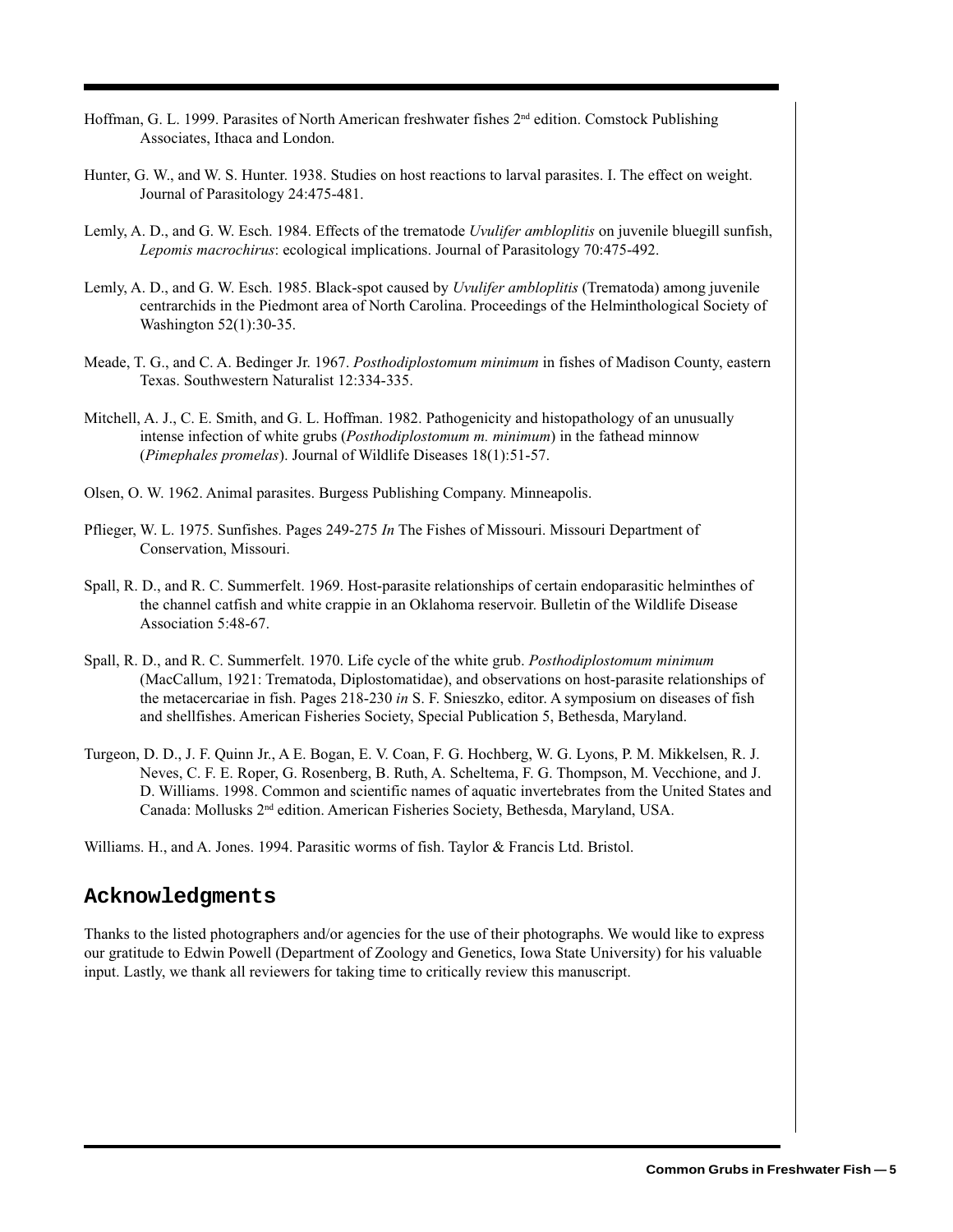- Hoffman, G. L. 1999. Parasites of North American freshwater fishes 2<sup>nd</sup> edition. Comstock Publishing Associates, Ithaca and London.
- Hunter, G. W., and W. S. Hunter. 1938. Studies on host reactions to larval parasites. I. The effect on weight. Journal of Parasitology 24:475-481.
- Lemly, A. D., and G. W. Esch. 1984. Effects of the trematode *Uvulifer ambloplitis* on juvenile bluegill sunfish, *Lepomis macrochirus*: ecological implications. Journal of Parasitology 70:475-492.
- Lemly, A. D., and G. W. Esch. 1985. Black-spot caused by *Uvulifer ambloplitis* (Trematoda) among juvenile centrarchids in the Piedmont area of North Carolina. Proceedings of the Helminthological Society of Washington 52(1):30-35.
- Meade, T. G., and C. A. Bedinger Jr. 1967. *Posthodiplostomum minimum* in fishes of Madison County, eastern Texas. Southwestern Naturalist 12:334-335.
- Mitchell, A. J., C. E. Smith, and G. L. Hoffman. 1982. Pathogenicity and histopathology of an unusually intense infection of white grubs (*Posthodiplostomum m. minimum*) in the fathead minnow (*Pimephales promelas*). Journal of Wildlife Diseases 18(1):51-57.
- Olsen, O. W. 1962. Animal parasites. Burgess Publishing Company. Minneapolis.
- Pflieger, W. L. 1975. Sunfishes. Pages 249-275 *In* The Fishes of Missouri. Missouri Department of Conservation, Missouri.
- Spall, R. D., and R. C. Summerfelt. 1969. Host-parasite relationships of certain endoparasitic helminthes of the channel catfish and white crappie in an Oklahoma reservoir. Bulletin of the Wildlife Disease Association 5:48-67.
- Spall, R. D., and R. C. Summerfelt. 1970. Life cycle of the white grub. *Posthodiplostomum minimum* (MacCallum, 1921: Trematoda, Diplostomatidae), and observations on host-parasite relationships of the metacercariae in fish. Pages 218-230 *in* S. F. Snieszko, editor. A symposium on diseases of fish and shellfishes. American Fisheries Society, Special Publication 5, Bethesda, Maryland.
- Turgeon, D. D., J. F. Quinn Jr., A E. Bogan, E. V. Coan, F. G. Hochberg, W. G. Lyons, P. M. Mikkelsen, R. J. Neves, C. F. E. Roper, G. Rosenberg, B. Ruth, A. Scheltema, F. G. Thompson, M. Vecchione, and J. D. Williams. 1998. Common and scientific names of aquatic invertebrates from the United States and Canada: Mollusks 2nd edition. American Fisheries Society, Bethesda, Maryland, USA.

Williams. H., and A. Jones. 1994. Parasitic worms of fish. Taylor & Francis Ltd. Bristol.

## **Acknowledgments**

Thanks to the listed photographers and/or agencies for the use of their photographs. We would like to express our gratitude to Edwin Powell (Department of Zoology and Genetics, Iowa State University) for his valuable input. Lastly, we thank all reviewers for taking time to critically review this manuscript.